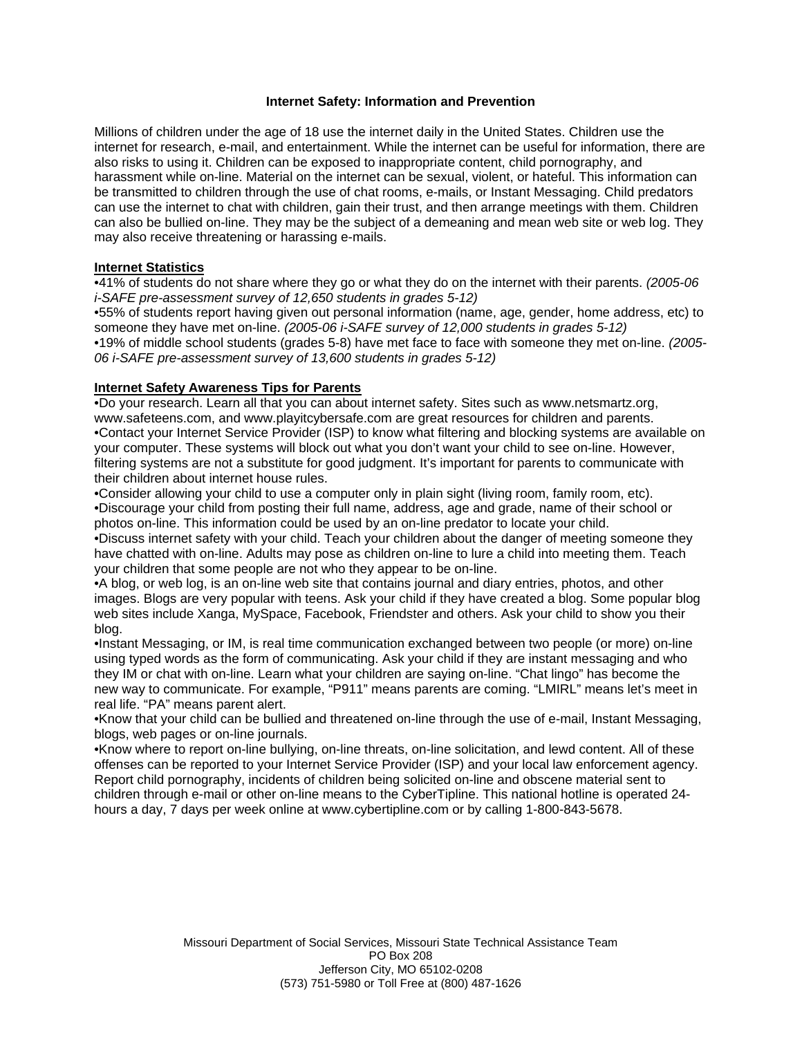### **Internet Safety: Information and Prevention**

Millions of children under the age of 18 use the internet daily in the United States. Children use the internet for research, e-mail, and entertainment. While the internet can be useful for information, there are also risks to using it. Children can be exposed to inappropriate content, child pornography, and harassment while on-line. Material on the internet can be sexual, violent, or hateful. This information can be transmitted to children through the use of chat rooms, e-mails, or Instant Messaging. Child predators can use the internet to chat with children, gain their trust, and then arrange meetings with them. Children can also be bullied on-line. They may be the subject of a demeaning and mean web site or web log. They may also receive threatening or harassing e-mails.

# **Internet Statistics**

•41% of students do not share where they go or what they do on the internet with their parents. *(2005-06 i-SAFE pre-assessment survey of 12,650 students in grades 5-12)* 

•55% of students report having given out personal information (name, age, gender, home address, etc) to someone they have met on-line. *(2005-06 i-SAFE survey of 12,000 students in grades 5-12)*  •19% of middle school students (grades 5-8) have met face to face with someone they met on-line. *(2005- 06 i-SAFE pre-assessment survey of 13,600 students in grades 5-12)* 

# **Internet Safety Awareness Tips for Parents**

•Do your research. Learn all that you can about internet safety. Sites such as www.netsmartz.org, www.safeteens.com, and www.playitcybersafe.com are great resources for children and parents. •Contact your Internet Service Provider (ISP) to know what filtering and blocking systems are available on your computer. These systems will block out what you don't want your child to see on-line. However, filtering systems are not a substitute for good judgment. It's important for parents to communicate with their children about internet house rules.

•Consider allowing your child to use a computer only in plain sight (living room, family room, etc). •Discourage your child from posting their full name, address, age and grade, name of their school or photos on-line. This information could be used by an on-line predator to locate your child.

•Discuss internet safety with your child. Teach your children about the danger of meeting someone they have chatted with on-line. Adults may pose as children on-line to lure a child into meeting them. Teach your children that some people are not who they appear to be on-line.

•A blog, or web log, is an on-line web site that contains journal and diary entries, photos, and other images. Blogs are very popular with teens. Ask your child if they have created a blog. Some popular blog web sites include Xanga, MySpace, Facebook, Friendster and others. Ask your child to show you their blog.

•Instant Messaging, or IM, is real time communication exchanged between two people (or more) on-line using typed words as the form of communicating. Ask your child if they are instant messaging and who they IM or chat with on-line. Learn what your children are saying on-line. "Chat lingo" has become the new way to communicate. For example, "P911" means parents are coming. "LMIRL" means let's meet in real life. "PA" means parent alert.

•Know that your child can be bullied and threatened on-line through the use of e-mail, Instant Messaging, blogs, web pages or on-line journals.

•Know where to report on-line bullying, on-line threats, on-line solicitation, and lewd content. All of these offenses can be reported to your Internet Service Provider (ISP) and your local law enforcement agency. Report child pornography, incidents of children being solicited on-line and obscene material sent to children through e-mail or other on-line means to the CyberTipline. This national hotline is operated 24 hours a day, 7 days per week online at www.cybertipline.com or by calling 1-800-843-5678.